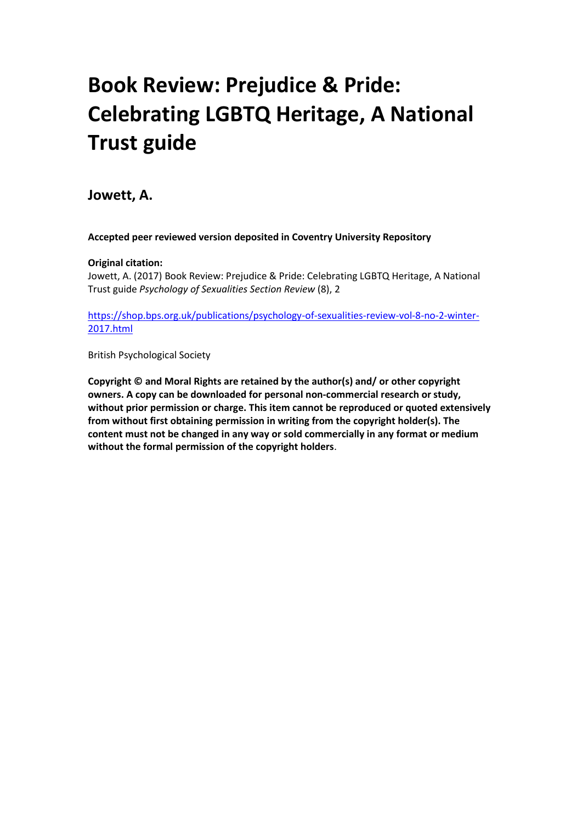## **Book Review: Prejudice & Pride: Celebrating LGBTQ Heritage, A National Trust guide**

**Jowett, A.**

**Accepted peer reviewed version deposited in Coventry University Repository**

## **Original citation:**

Jowett, A. (2017) Book Review: Prejudice & Pride: Celebrating LGBTQ Heritage, A National Trust guide *Psychology of Sexualities Section Review* (8), 2

[https://shop.bps.org.uk/publications/psychology-of-sexualities-review-vol-8-no-2-winter-](https://shop.bps.org.uk/publications/psychology-of-sexualities-review-vol-8-no-2-winter-2017.html)[2017.html](https://shop.bps.org.uk/publications/psychology-of-sexualities-review-vol-8-no-2-winter-2017.html)

British Psychological Society

**Copyright © and Moral Rights are retained by the author(s) and/ or other copyright owners. A copy can be downloaded for personal non-commercial research or study, without prior permission or charge. This item cannot be reproduced or quoted extensively from without first obtaining permission in writing from the copyright holder(s). The content must not be changed in any way or sold commercially in any format or medium without the formal permission of the copyright holders**.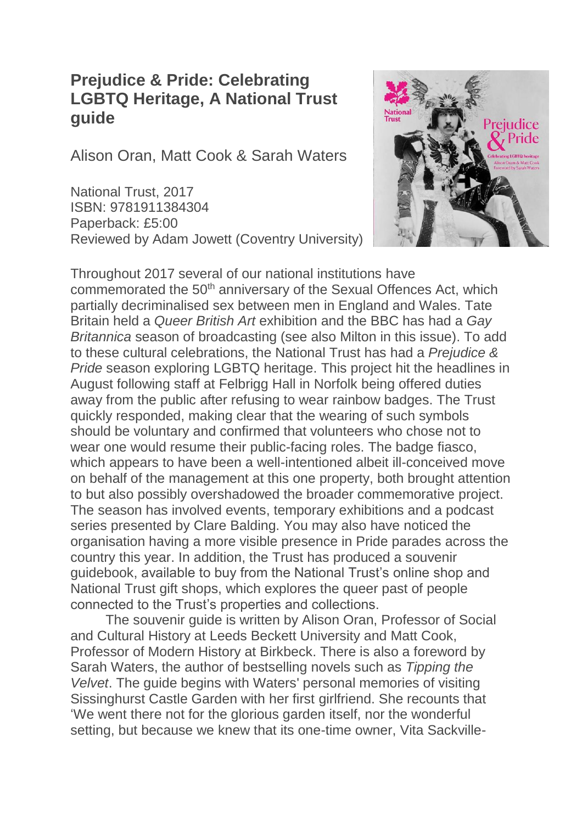## **Prejudice & Pride: Celebrating LGBTQ Heritage, A National Trust guide**

Alison Oran, Matt Cook & Sarah Waters

National Trust, 2017 ISBN: 9781911384304 Paperback: £5:00 Reviewed by Adam Jowett (Coventry University)



Throughout 2017 several of our national institutions have commemorated the 50<sup>th</sup> anniversary of the Sexual Offences Act, which partially decriminalised sex between men in England and Wales. Tate Britain held a *Queer British Art* exhibition and the BBC has had a *Gay Britannica* season of broadcasting (see also Milton in this issue). To add to these cultural celebrations, the National Trust has had a *Prejudice & Pride* season exploring LGBTQ heritage. This project hit the headlines in August following staff at Felbrigg Hall in Norfolk being offered duties away from the public after refusing to wear rainbow badges. The Trust quickly responded, making clear that the wearing of such symbols should be voluntary and confirmed that volunteers who chose not to wear one would resume their public-facing roles. The badge fiasco, which appears to have been a well-intentioned albeit ill-conceived move on behalf of the management at this one property, both brought attention to but also possibly overshadowed the broader commemorative project. The season has involved events, temporary exhibitions and a podcast series presented by Clare Balding. You may also have noticed the organisation having a more visible presence in Pride parades across the country this year. In addition, the Trust has produced a souvenir guidebook, available to buy from the National Trust's online shop and National Trust gift shops, which explores the queer past of people connected to the Trust's properties and collections.

The souvenir guide is written by Alison Oran, Professor of Social and Cultural History at Leeds Beckett University and Matt Cook, Professor of Modern History at Birkbeck. There is also a foreword by Sarah Waters, the author of bestselling novels such as *Tipping the Velvet*. The guide begins with Waters' personal memories of visiting Sissinghurst Castle Garden with her first girlfriend. She recounts that 'We went there not for the glorious garden itself, nor the wonderful setting, but because we knew that its one-time owner, Vita Sackville-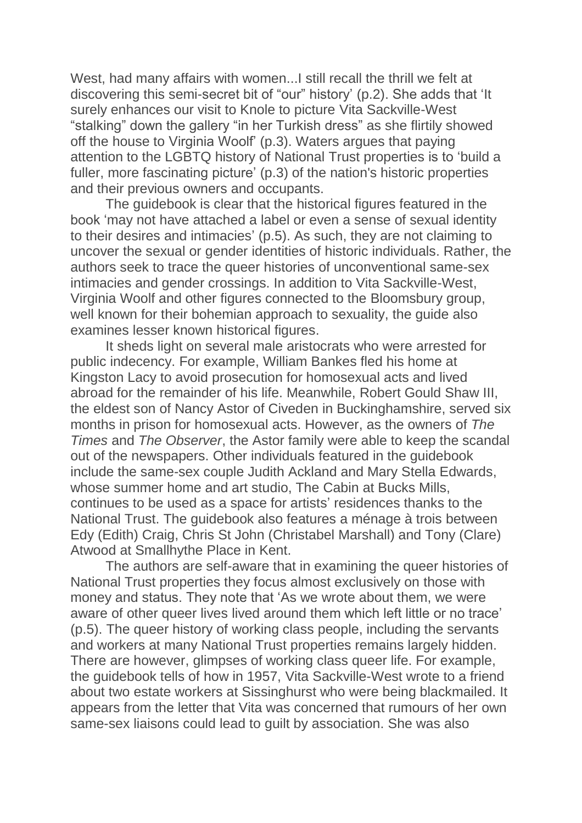West, had many affairs with women...I still recall the thrill we felt at discovering this semi-secret bit of "our" history' (p.2). She adds that 'It surely enhances our visit to Knole to picture Vita Sackville-West "stalking" down the gallery "in her Turkish dress" as she flirtily showed off the house to Virginia Woolf' (p.3). Waters argues that paying attention to the LGBTQ history of National Trust properties is to 'build a fuller, more fascinating picture' (p.3) of the nation's historic properties and their previous owners and occupants.

The guidebook is clear that the historical figures featured in the book 'may not have attached a label or even a sense of sexual identity to their desires and intimacies' (p.5). As such, they are not claiming to uncover the sexual or gender identities of historic individuals. Rather, the authors seek to trace the queer histories of unconventional same-sex intimacies and gender crossings. In addition to Vita Sackville-West, Virginia Woolf and other figures connected to the Bloomsbury group, well known for their bohemian approach to sexuality, the guide also examines lesser known historical figures.

It sheds light on several male aristocrats who were arrested for public indecency. For example, William Bankes fled his home at Kingston Lacy to avoid prosecution for homosexual acts and lived abroad for the remainder of his life. Meanwhile, Robert Gould Shaw III, the eldest son of Nancy Astor of Civeden in Buckinghamshire, served six months in prison for homosexual acts. However, as the owners of *The Times* and *The Observer*, the Astor family were able to keep the scandal out of the newspapers. Other individuals featured in the guidebook include the same-sex couple Judith Ackland and Mary Stella Edwards, whose summer home and art studio, The Cabin at Bucks Mills, continues to be used as a space for artists' residences thanks to the National Trust. The guidebook also features a ménage à trois between Edy (Edith) Craig, Chris St John (Christabel Marshall) and Tony (Clare) Atwood at Smallhythe Place in Kent.

The authors are self-aware that in examining the queer histories of National Trust properties they focus almost exclusively on those with money and status. They note that 'As we wrote about them, we were aware of other queer lives lived around them which left little or no trace' (p.5). The queer history of working class people, including the servants and workers at many National Trust properties remains largely hidden. There are however, glimpses of working class queer life. For example, the guidebook tells of how in 1957, Vita Sackville-West wrote to a friend about two estate workers at Sissinghurst who were being blackmailed. It appears from the letter that Vita was concerned that rumours of her own same-sex liaisons could lead to guilt by association. She was also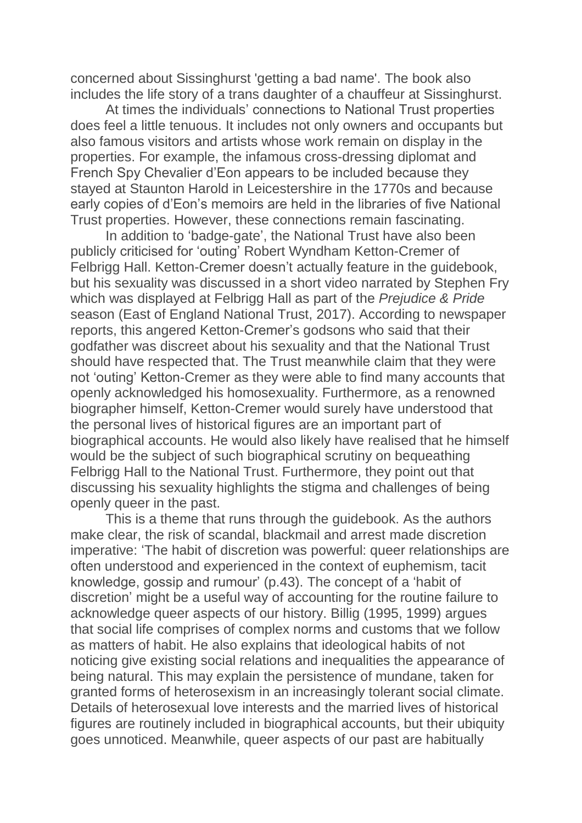concerned about Sissinghurst 'getting a bad name'. The book also includes the life story of a trans daughter of a chauffeur at Sissinghurst.

At times the individuals' connections to National Trust properties does feel a little tenuous. It includes not only owners and occupants but also famous visitors and artists whose work remain on display in the properties. For example, the infamous cross-dressing diplomat and French Spy Chevalier d'Eon appears to be included because they stayed at Staunton Harold in Leicestershire in the 1770s and because early copies of d'Eon's memoirs are held in the libraries of five National Trust properties. However, these connections remain fascinating.

In addition to 'badge-gate', the National Trust have also been publicly criticised for 'outing' Robert Wyndham Ketton-Cremer of Felbrigg Hall. Ketton-Cremer doesn't actually feature in the guidebook, but his sexuality was discussed in a short video narrated by Stephen Fry which was displayed at Felbrigg Hall as part of the *Prejudice & Pride* season (East of England National Trust, 2017). According to newspaper reports, this angered Ketton-Cremer's godsons who said that their godfather was discreet about his sexuality and that the National Trust should have respected that. The Trust meanwhile claim that they were not 'outing' Ketton-Cremer as they were able to find many accounts that openly acknowledged his homosexuality. Furthermore, as a renowned biographer himself, Ketton-Cremer would surely have understood that the personal lives of historical figures are an important part of biographical accounts. He would also likely have realised that he himself would be the subject of such biographical scrutiny on bequeathing Felbrigg Hall to the National Trust. Furthermore, they point out that discussing his sexuality highlights the stigma and challenges of being openly queer in the past.

This is a theme that runs through the guidebook. As the authors make clear, the risk of scandal, blackmail and arrest made discretion imperative: 'The habit of discretion was powerful: queer relationships are often understood and experienced in the context of euphemism, tacit knowledge, gossip and rumour' (p.43). The concept of a 'habit of discretion' might be a useful way of accounting for the routine failure to acknowledge queer aspects of our history. Billig (1995, 1999) argues that social life comprises of complex norms and customs that we follow as matters of habit. He also explains that ideological habits of not noticing give existing social relations and inequalities the appearance of being natural. This may explain the persistence of mundane, taken for granted forms of heterosexism in an increasingly tolerant social climate. Details of heterosexual love interests and the married lives of historical figures are routinely included in biographical accounts, but their ubiquity goes unnoticed. Meanwhile, queer aspects of our past are habitually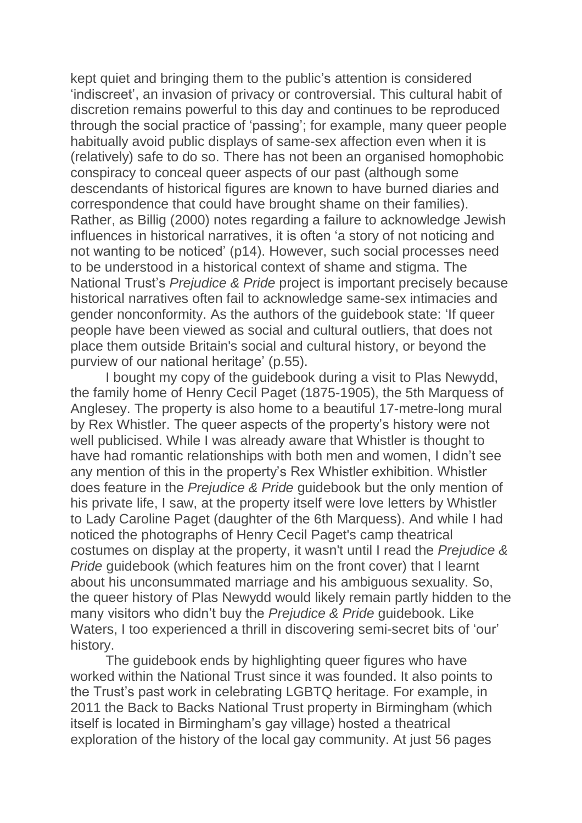kept quiet and bringing them to the public's attention is considered 'indiscreet', an invasion of privacy or controversial. This cultural habit of discretion remains powerful to this day and continues to be reproduced through the social practice of 'passing'; for example, many queer people habitually avoid public displays of same-sex affection even when it is (relatively) safe to do so. There has not been an organised homophobic conspiracy to conceal queer aspects of our past (although some descendants of historical figures are known to have burned diaries and correspondence that could have brought shame on their families). Rather, as Billig (2000) notes regarding a failure to acknowledge Jewish influences in historical narratives, it is often 'a story of not noticing and not wanting to be noticed' (p14). However, such social processes need to be understood in a historical context of shame and stigma. The National Trust's *Prejudice & Pride* project is important precisely because historical narratives often fail to acknowledge same-sex intimacies and gender nonconformity. As the authors of the guidebook state: 'If queer people have been viewed as social and cultural outliers, that does not place them outside Britain's social and cultural history, or beyond the purview of our national heritage' (p.55).

I bought my copy of the guidebook during a visit to Plas Newydd, the family home of Henry Cecil Paget (1875-1905), the 5th Marquess of Anglesey. The property is also home to a beautiful 17-metre-long mural by Rex Whistler. The queer aspects of the property's history were not well publicised. While I was already aware that Whistler is thought to have had romantic relationships with both men and women, I didn't see any mention of this in the property's Rex Whistler exhibition. Whistler does feature in the *Prejudice & Pride* guidebook but the only mention of his private life, I saw, at the property itself were love letters by Whistler to Lady Caroline Paget (daughter of the 6th Marquess). And while I had noticed the photographs of Henry Cecil Paget's camp theatrical costumes on display at the property, it wasn't until I read the *Prejudice & Pride* guidebook (which features him on the front cover) that I learnt about his unconsummated marriage and his ambiguous sexuality. So, the queer history of Plas Newydd would likely remain partly hidden to the many visitors who didn't buy the *Prejudice & Pride* guidebook. Like Waters, I too experienced a thrill in discovering semi-secret bits of 'our' history.

The guidebook ends by highlighting queer figures who have worked within the National Trust since it was founded. It also points to the Trust's past work in celebrating LGBTQ heritage. For example, in 2011 the Back to Backs National Trust property in Birmingham (which itself is located in Birmingham's gay village) hosted a theatrical exploration of the history of the local gay community. At just 56 pages